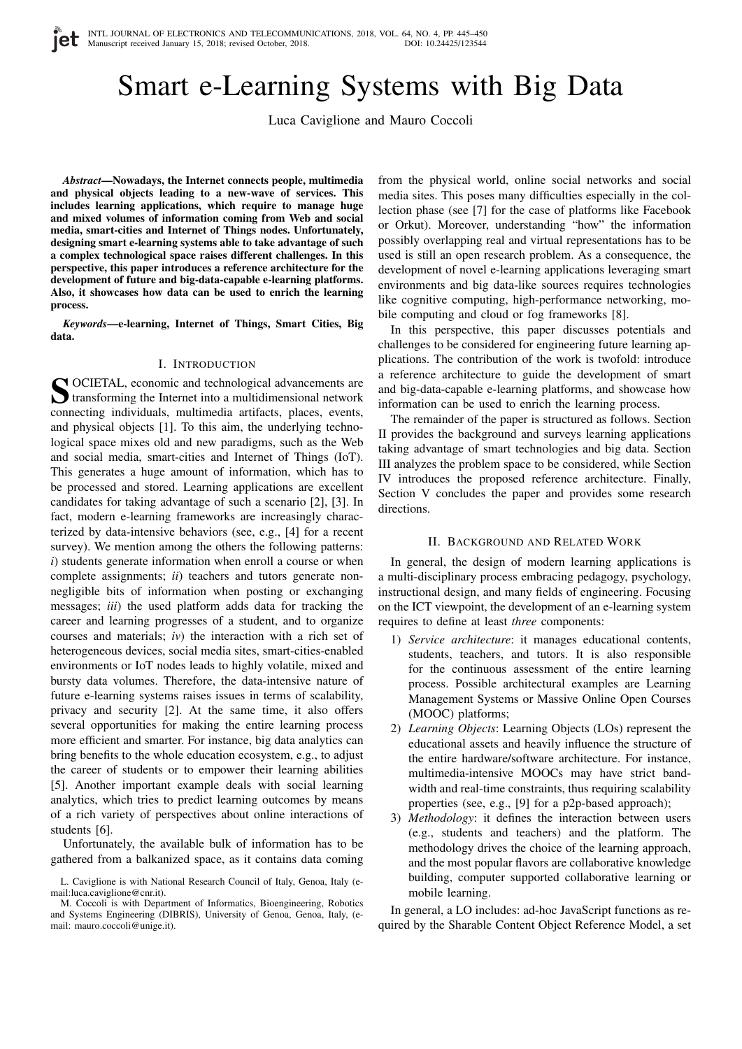# Smart e-Learning Systems with Big Data

Luca Caviglione and Mauro Coccoli

*Abstract*—Nowadays, the Internet connects people, multimedia and physical objects leading to a new-wave of services. This includes learning applications, which require to manage huge and mixed volumes of information coming from Web and social media, smart-cities and Internet of Things nodes. Unfortunately, designing smart e-learning systems able to take advantage of such a complex technological space raises different challenges. In this perspective, this paper introduces a reference architecture for the development of future and big-data-capable e-learning platforms. Also, it showcases how data can be used to enrich the learning process.

*Keywords*—e-learning, Internet of Things, Smart Cities, Big data.

## I. INTRODUCTION

S OCIETAL, economic and technological advancements are<br>transforming the Internet into a multidimensional network OCIETAL, economic and technological advancements are connecting individuals, multimedia artifacts, places, events, and physical objects [1]. To this aim, the underlying technological space mixes old and new paradigms, such as the Web and social media, smart-cities and Internet of Things (IoT). This generates a huge amount of information, which has to be processed and stored. Learning applications are excellent candidates for taking advantage of such a scenario [2], [3]. In fact, modern e-learning frameworks are increasingly characterized by data-intensive behaviors (see, e.g., [4] for a recent survey). We mention among the others the following patterns: *i*) students generate information when enroll a course or when complete assignments; *ii*) teachers and tutors generate nonnegligible bits of information when posting or exchanging messages; *iii*) the used platform adds data for tracking the career and learning progresses of a student, and to organize courses and materials; *iv*) the interaction with a rich set of heterogeneous devices, social media sites, smart-cities-enabled environments or IoT nodes leads to highly volatile, mixed and bursty data volumes. Therefore, the data-intensive nature of future e-learning systems raises issues in terms of scalability, privacy and security [2]. At the same time, it also offers several opportunities for making the entire learning process more efficient and smarter. For instance, big data analytics can bring benefits to the whole education ecosystem, e.g., to adjust the career of students or to empower their learning abilities [5]. Another important example deals with social learning analytics, which tries to predict learning outcomes by means of a rich variety of perspectives about online interactions of students [6].

Unfortunately, the available bulk of information has to be gathered from a balkanized space, as it contains data coming

from the physical world, online social networks and social media sites. This poses many difficulties especially in the collection phase (see [7] for the case of platforms like Facebook or Orkut). Moreover, understanding "how" the information possibly overlapping real and virtual representations has to be used is still an open research problem. As a consequence, the development of novel e-learning applications leveraging smart environments and big data-like sources requires technologies like cognitive computing, high-performance networking, mobile computing and cloud or fog frameworks [8].

In this perspective, this paper discusses potentials and challenges to be considered for engineering future learning applications. The contribution of the work is twofold: introduce a reference architecture to guide the development of smart and big-data-capable e-learning platforms, and showcase how information can be used to enrich the learning process.

The remainder of the paper is structured as follows. Section II provides the background and surveys learning applications taking advantage of smart technologies and big data. Section III analyzes the problem space to be considered, while Section IV introduces the proposed reference architecture. Finally, Section V concludes the paper and provides some research directions.

#### II. BACKGROUND AND RELATED WORK

In general, the design of modern learning applications is a multi-disciplinary process embracing pedagogy, psychology, instructional design, and many fields of engineering. Focusing on the ICT viewpoint, the development of an e-learning system requires to define at least *three* components:

- 1) *Service architecture*: it manages educational contents, students, teachers, and tutors. It is also responsible for the continuous assessment of the entire learning process. Possible architectural examples are Learning Management Systems or Massive Online Open Courses (MOOC) platforms;
- 2) *Learning Objects*: Learning Objects (LOs) represent the educational assets and heavily influence the structure of the entire hardware/software architecture. For instance, multimedia-intensive MOOCs may have strict bandwidth and real-time constraints, thus requiring scalability properties (see, e.g., [9] for a p2p-based approach);
- 3) *Methodology*: it defines the interaction between users (e.g., students and teachers) and the platform. The methodology drives the choice of the learning approach, and the most popular flavors are collaborative knowledge building, computer supported collaborative learning or mobile learning.

In general, a LO includes: ad-hoc JavaScript functions as required by the Sharable Content Object Reference Model, a set

L. Caviglione is with National Research Council of Italy, Genoa, Italy (email:luca.caviglione@cnr.it).

M. Coccoli is with Department of Informatics, Bioengineering, Robotics and Systems Engineering (DIBRIS), University of Genoa, Genoa, Italy, (email: mauro.coccoli@unige.it).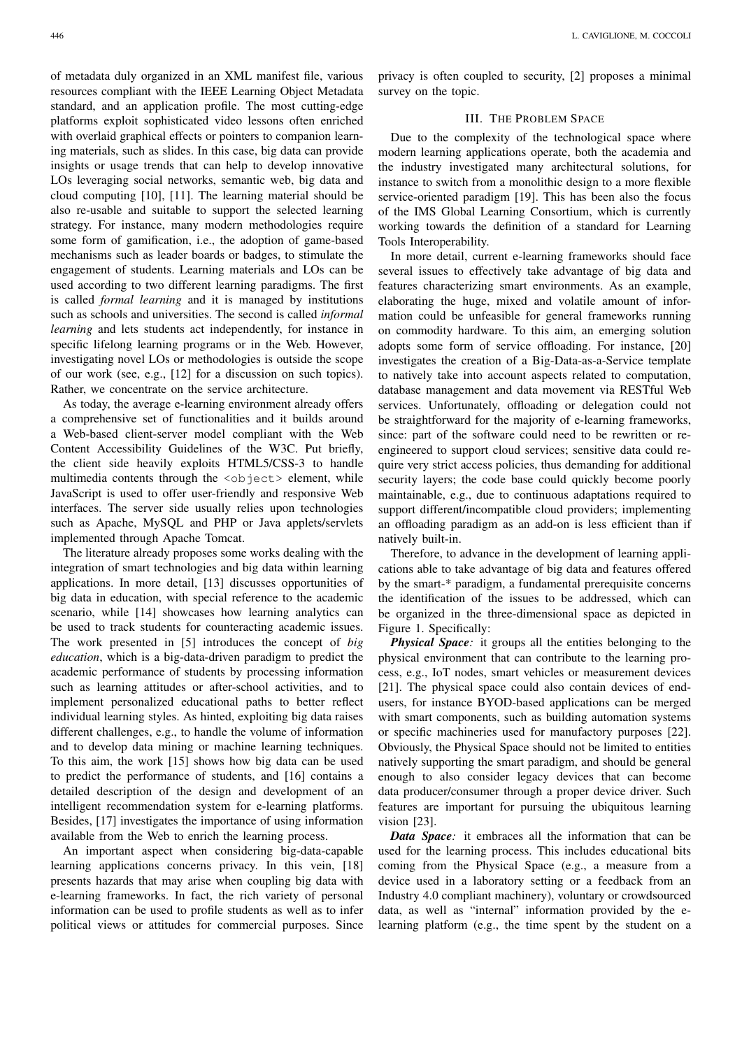of metadata duly organized in an XML manifest file, various resources compliant with the IEEE Learning Object Metadata standard, and an application profile. The most cutting-edge platforms exploit sophisticated video lessons often enriched with overlaid graphical effects or pointers to companion learning materials, such as slides. In this case, big data can provide insights or usage trends that can help to develop innovative LOs leveraging social networks, semantic web, big data and cloud computing [10], [11]. The learning material should be also re-usable and suitable to support the selected learning strategy. For instance, many modern methodologies require some form of gamification, i.e., the adoption of game-based mechanisms such as leader boards or badges, to stimulate the engagement of students. Learning materials and LOs can be used according to two different learning paradigms. The first is called *formal learning* and it is managed by institutions such as schools and universities. The second is called *informal learning* and lets students act independently, for instance in specific lifelong learning programs or in the Web. However, investigating novel LOs or methodologies is outside the scope of our work (see, e.g., [12] for a discussion on such topics). Rather, we concentrate on the service architecture.

As today, the average e-learning environment already offers a comprehensive set of functionalities and it builds around a Web-based client-server model compliant with the Web Content Accessibility Guidelines of the W3C. Put briefly, the client side heavily exploits HTML5/CSS-3 to handle multimedia contents through the <object> element, while JavaScript is used to offer user-friendly and responsive Web interfaces. The server side usually relies upon technologies such as Apache, MySQL and PHP or Java applets/servlets implemented through Apache Tomcat.

The literature already proposes some works dealing with the integration of smart technologies and big data within learning applications. In more detail, [13] discusses opportunities of big data in education, with special reference to the academic scenario, while [14] showcases how learning analytics can be used to track students for counteracting academic issues. The work presented in [5] introduces the concept of *big education*, which is a big-data-driven paradigm to predict the academic performance of students by processing information such as learning attitudes or after-school activities, and to implement personalized educational paths to better reflect individual learning styles. As hinted, exploiting big data raises different challenges, e.g., to handle the volume of information and to develop data mining or machine learning techniques. To this aim, the work [15] shows how big data can be used to predict the performance of students, and [16] contains a detailed description of the design and development of an intelligent recommendation system for e-learning platforms. Besides, [17] investigates the importance of using information available from the Web to enrich the learning process.

An important aspect when considering big-data-capable learning applications concerns privacy. In this vein, [18] presents hazards that may arise when coupling big data with e-learning frameworks. In fact, the rich variety of personal information can be used to profile students as well as to infer political views or attitudes for commercial purposes. Since

privacy is often coupled to security, [2] proposes a minimal survey on the topic.

# III. THE PROBLEM SPACE

Due to the complexity of the technological space where modern learning applications operate, both the academia and the industry investigated many architectural solutions, for instance to switch from a monolithic design to a more flexible service-oriented paradigm [19]. This has been also the focus of the IMS Global Learning Consortium, which is currently working towards the definition of a standard for Learning Tools Interoperability.

In more detail, current e-learning frameworks should face several issues to effectively take advantage of big data and features characterizing smart environments. As an example, elaborating the huge, mixed and volatile amount of information could be unfeasible for general frameworks running on commodity hardware. To this aim, an emerging solution adopts some form of service offloading. For instance, [20] investigates the creation of a Big-Data-as-a-Service template to natively take into account aspects related to computation, database management and data movement via RESTful Web services. Unfortunately, offloading or delegation could not be straightforward for the majority of e-learning frameworks, since: part of the software could need to be rewritten or reengineered to support cloud services; sensitive data could require very strict access policies, thus demanding for additional security layers; the code base could quickly become poorly maintainable, e.g., due to continuous adaptations required to support different/incompatible cloud providers; implementing an offloading paradigm as an add-on is less efficient than if natively built-in.

Therefore, to advance in the development of learning applications able to take advantage of big data and features offered by the smart-\* paradigm, a fundamental prerequisite concerns the identification of the issues to be addressed, which can be organized in the three-dimensional space as depicted in Figure 1. Specifically:

*Physical Space*: it groups all the entities belonging to the physical environment that can contribute to the learning process, e.g., IoT nodes, smart vehicles or measurement devices [21]. The physical space could also contain devices of endusers, for instance BYOD-based applications can be merged with smart components, such as building automation systems or specific machineries used for manufactory purposes [22]. Obviously, the Physical Space should not be limited to entities natively supporting the smart paradigm, and should be general enough to also consider legacy devices that can become data producer/consumer through a proper device driver. Such features are important for pursuing the ubiquitous learning vision [23].

*Data Space:* it embraces all the information that can be used for the learning process. This includes educational bits coming from the Physical Space (e.g., a measure from a device used in a laboratory setting or a feedback from an Industry 4.0 compliant machinery), voluntary or crowdsourced data, as well as "internal" information provided by the elearning platform (e.g., the time spent by the student on a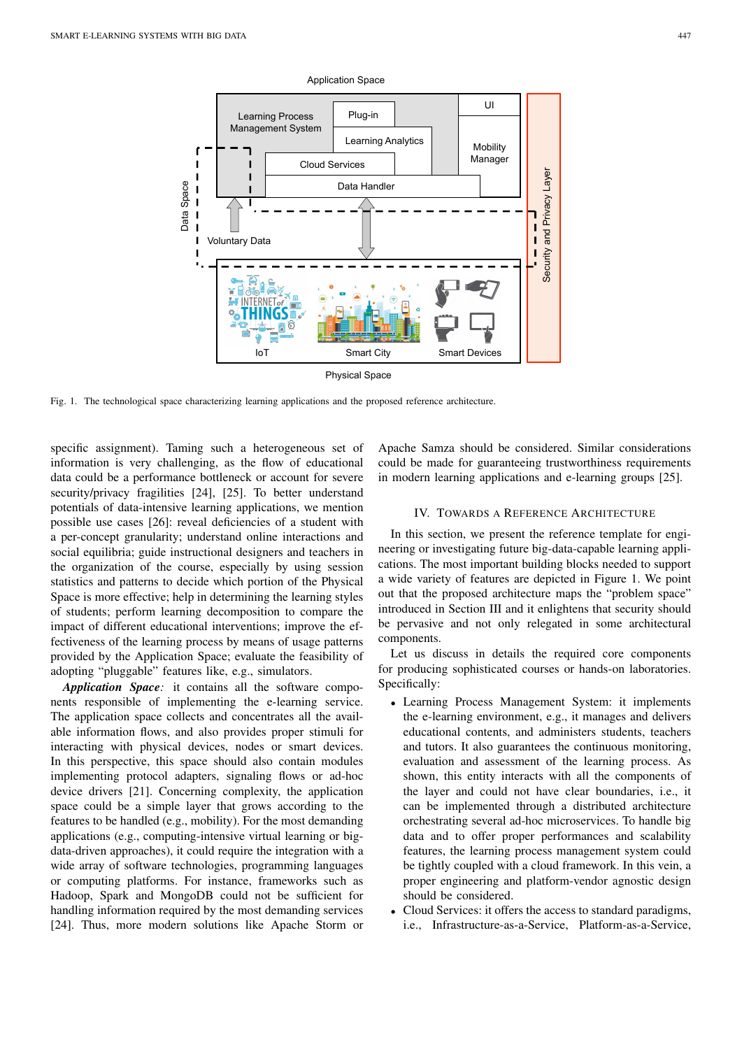

Physical Space

Fig. 1. The technological space characterizing learning applications and the proposed reference architecture.

specific assignment). Taming such a heterogeneous set of information is very challenging, as the flow of educational data could be a performance bottleneck or account for severe security/privacy fragilities [24], [25]. To better understand potentials of data-intensive learning applications, we mention possible use cases [26]: reveal deficiencies of a student with a per-concept granularity; understand online interactions and social equilibria; guide instructional designers and teachers in the organization of the course, especially by using session statistics and patterns to decide which portion of the Physical Space is more effective; help in determining the learning styles of students; perform learning decomposition to compare the impact of different educational interventions; improve the effectiveness of the learning process by means of usage patterns provided by the Application Space; evaluate the feasibility of adopting "pluggable" features like, e.g., simulators.

*Application Space:* it contains all the software components responsible of implementing the e-learning service. The application space collects and concentrates all the available information flows, and also provides proper stimuli for interacting with physical devices, nodes or smart devices. In this perspective, this space should also contain modules implementing protocol adapters, signaling flows or ad-hoc device drivers [21]. Concerning complexity, the application space could be a simple layer that grows according to the features to be handled (e.g., mobility). For the most demanding applications (e.g., computing-intensive virtual learning or bigdata-driven approaches), it could require the integration with a wide array of software technologies, programming languages or computing platforms. For instance, frameworks such as Hadoop, Spark and MongoDB could not be sufficient for handling information required by the most demanding services [24]. Thus, more modern solutions like Apache Storm or

Apache Samza should be considered. Similar considerations could be made for guaranteeing trustworthiness requirements in modern learning applications and e-learning groups [25].

## IV. TOWARDS A REFERENCE ARCHITECTURE

In this section, we present the reference template for engineering or investigating future big-data-capable learning applications. The most important building blocks needed to support a wide variety of features are depicted in Figure 1. We point out that the proposed architecture maps the "problem space" introduced in Section III and it enlightens that security should be pervasive and not only relegated in some architectural components.

Let us discuss in details the required core components for producing sophisticated courses or hands-on laboratories. Specifically:

- Learning Process Management System: it implements the e-learning environment, e.g., it manages and delivers educational contents, and administers students, teachers and tutors. It also guarantees the continuous monitoring, evaluation and assessment of the learning process. As shown, this entity interacts with all the components of the layer and could not have clear boundaries, i.e., it can be implemented through a distributed architecture orchestrating several ad-hoc microservices. To handle big data and to offer proper performances and scalability features, the learning process management system could be tightly coupled with a cloud framework. In this vein, a proper engineering and platform-vendor agnostic design should be considered.
- Cloud Services: it offers the access to standard paradigms, i.e., Infrastructure-as-a-Service, Platform-as-a-Service,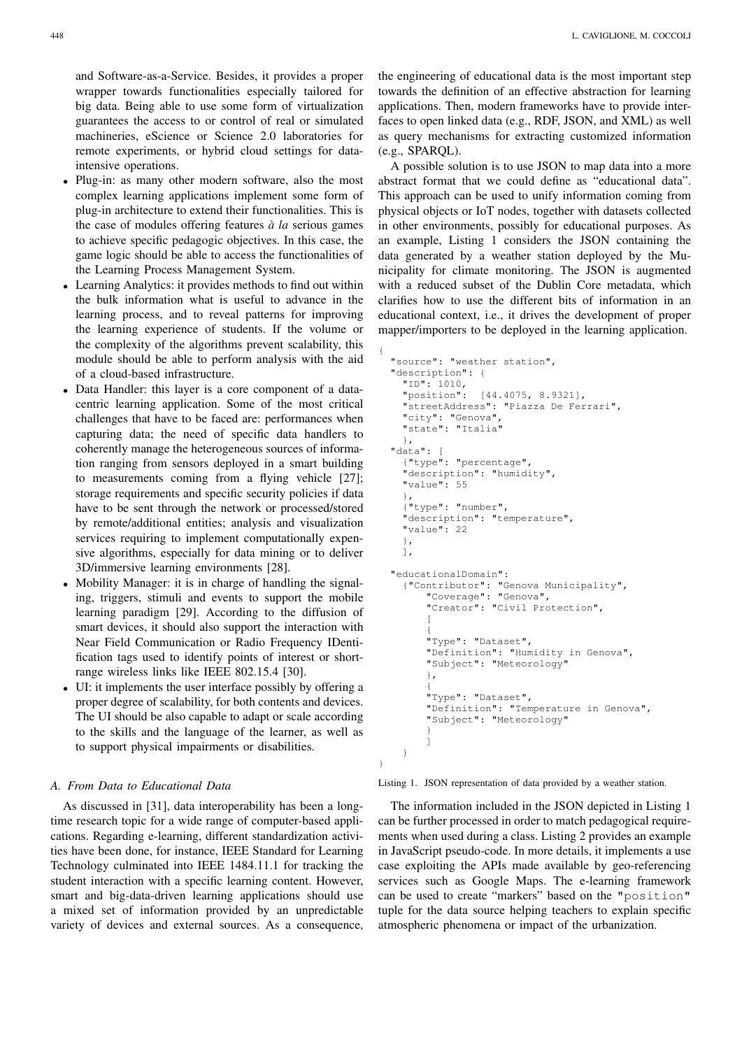and Software-as-a-Service. Besides, it provides a proper wrapper towards functionalities especially tailored for big data. Being able to use some form of virtualization guarantees the access to or control of real or simulated machineries, eScience or Science 2.0 laboratories for remote experiments, or hybrid cloud settings for dataintensive operations.

- Plug-in: as many other modern software, also the most complex learning applications implement some form of plug-in architecture to extend their functionalities. This is the case of modules offering features  $\dot{a}$  *la* serious games to achieve specific pedagogic objectives. In this case, the game logic should be able to access the functionalities of the Learning Process Management System.
- Learning Analytics: it provides methods to find out within the bulk information what is useful to advance in the learning process, and to reveal patterns for improving the learning experience of students. If the volume or the complexity of the algorithms prevent scalability, this module should be able to perform analysis with the aid of a cloud-based infrastructure.

{

}

- Data Handler: this layer is a core component of a datacentric learning application. Some of the most critical challenges that have to be faced are: performances when capturing data; the need of specific data handlers to coherently manage the heterogeneous sources of information ranging from sensors deployed in a smart building to measurements coming from a flying vehicle [27]; storage requirements and specific security policies if data have to be sent through the network or processed/stored by remote/additional entities; analysis and visualization services requiring to implement computationally expensive algorithms, especially for data mining or to deliver 3D/immersive learning environments [28].
- Mobility Manager: it is in charge of handling the signaling, triggers, stimuli and events to support the mobile learning paradigm [29]. According to the diffusion of smart devices, it should also support the interaction with Near Field Communication or Radio Frequency IDentification tags used to identify points of interest or shortrange wireless links like IEEE 802.15.4 [30].
- UI: it implements the user interface possibly by offering a proper degree of scalability, for both contents and devices. The UI should be also capable to adapt or scale according to the skills and the language of the learner, as well as to support physical impairments or disabilities.

### *A. From Data to Educational Data*

As discussed in [31], data interoperability has been a longtime research topic for a wide range of computer-based applications. Regarding e-learning, different standardization activities have been done, for instance, IEEE Standard for Learning Technology culminated into IEEE 1484.11.1 for tracking the student interaction with a specific learning content. However, smart and big-data-driven learning applications should use a mixed set of information provided by an unpredictable variety of devices and external sources. As a consequence,

the engineering of educational data is the most important step towards the definition of an effective abstraction for learning applications. Then, modern frameworks have to provide interfaces to open linked data (e.g., RDF, JSON, and XML) as well as query mechanisms for extracting customized information (e.g., SPARQL).

A possible solution is to use JSON to map data into a more abstract format that we could define as "educational data". This approach can be used to unify information coming from physical objects or IoT nodes, together with datasets collected in other environments, possibly for educational purposes. As an example, Listing 1 considers the JSON containing the data generated by a weather station deployed by the Municipality for climate monitoring. The JSON is augmented with a reduced subset of the Dublin Core metadata, which clarifies how to use the different bits of information in an educational context, i.e., it drives the development of proper mapper/importers to be deployed in the learning application.

```
"source": "weather station",
"description": {
  "ID": 1010,
  "position": [44.4075, 8.9321],
  "streetAddress": "Piazza De Ferrari",
  "city": "Genova",
  "state": "Italia"
  },
"data": [
  {"type": "percentage",
  "description": "humidity",
  "value": 55
  },
  {"type": "number",
  "description": "temperature",
  "value": 22
  },
  ],
"educationalDomain":
  {"Contributor": "Genova Municipality",
      "Coverage": "Genova",
      "Creator": "Civil Protection",
      [
      {
      "Type": "Dataset",
      "Definition": "Humidity in Genova",
      "Subject": "Meteorology"
      },
      {
      "Type": "Dataset",
      "Definition": "Temperature in Genova",
      "Subject": "Meteorology"
      }
      ]
  }
```
Listing 1. JSON representation of data provided by a weather station.

The information included in the JSON depicted in Listing 1 can be further processed in order to match pedagogical requirements when used during a class. Listing 2 provides an example in JavaScript pseudo-code. In more details, it implements a use case exploiting the APIs made available by geo-referencing services such as Google Maps. The e-learning framework can be used to create "markers" based on the "position" tuple for the data source helping teachers to explain specific atmospheric phenomena or impact of the urbanization.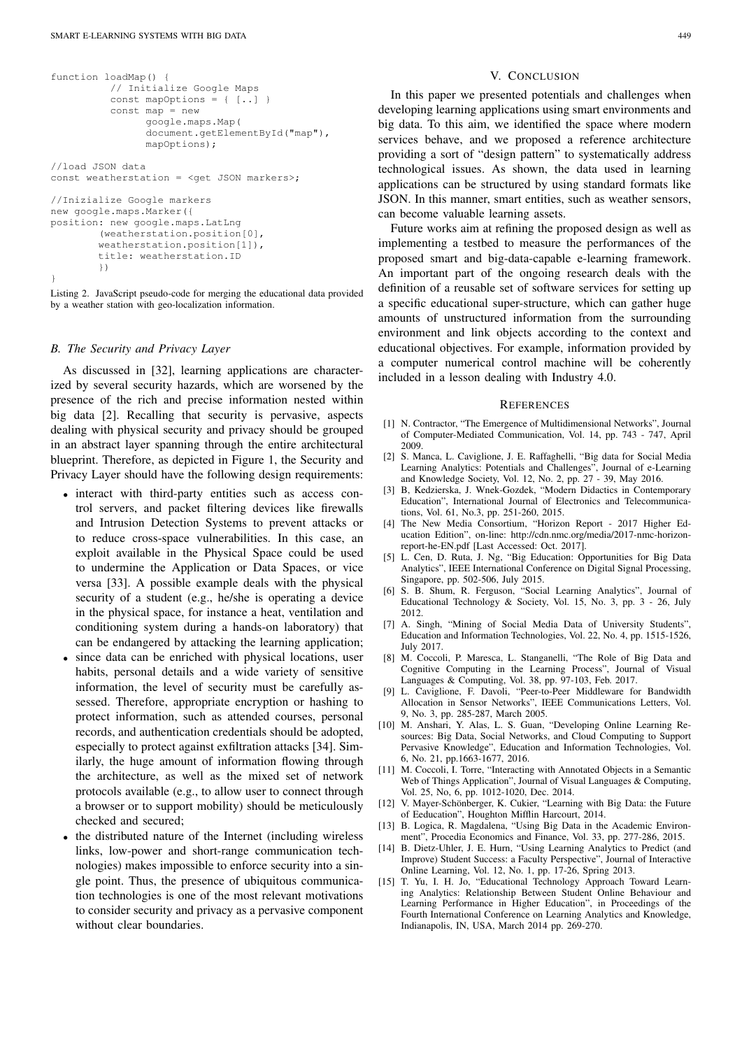```
function loadMap() {
          // Initialize Google Maps
          const mapOptions = { [..] }
          const map = new
                google.maps.Map(
                document.getElementById("map"),
                mapOptions);
//load JSON data
const weatherstation = <get JSON markers>;
//Inizialize Google markers
new google.maps.Marker({
position: new google.maps.LatLng
        (weatherstation.position[0],
        weatherstation.position[1]),
        title: weatherstation.ID
        })
}
```
Listing 2. JavaScript pseudo-code for merging the educational data provided by a weather station with geo-localization information.

## *B. The Security and Privacy Layer*

As discussed in [32], learning applications are characterized by several security hazards, which are worsened by the presence of the rich and precise information nested within big data [2]. Recalling that security is pervasive, aspects dealing with physical security and privacy should be grouped in an abstract layer spanning through the entire architectural blueprint. Therefore, as depicted in Figure 1, the Security and Privacy Layer should have the following design requirements:

- interact with third-party entities such as access control servers, and packet filtering devices like firewalls and Intrusion Detection Systems to prevent attacks or to reduce cross-space vulnerabilities. In this case, an exploit available in the Physical Space could be used to undermine the Application or Data Spaces, or vice versa [33]. A possible example deals with the physical security of a student (e.g., he/she is operating a device in the physical space, for instance a heat, ventilation and conditioning system during a hands-on laboratory) that can be endangered by attacking the learning application;
- since data can be enriched with physical locations, user habits, personal details and a wide variety of sensitive information, the level of security must be carefully assessed. Therefore, appropriate encryption or hashing to protect information, such as attended courses, personal records, and authentication credentials should be adopted, especially to protect against exfiltration attacks [34]. Similarly, the huge amount of information flowing through the architecture, as well as the mixed set of network protocols available (e.g., to allow user to connect through a browser or to support mobility) should be meticulously checked and secured;
- the distributed nature of the Internet (including wireless links, low-power and short-range communication technologies) makes impossible to enforce security into a single point. Thus, the presence of ubiquitous communication technologies is one of the most relevant motivations to consider security and privacy as a pervasive component without clear boundaries.

#### V. CONCLUSION

In this paper we presented potentials and challenges when developing learning applications using smart environments and big data. To this aim, we identified the space where modern services behave, and we proposed a reference architecture providing a sort of "design pattern" to systematically address technological issues. As shown, the data used in learning applications can be structured by using standard formats like JSON. In this manner, smart entities, such as weather sensors, can become valuable learning assets.

Future works aim at refining the proposed design as well as implementing a testbed to measure the performances of the proposed smart and big-data-capable e-learning framework. An important part of the ongoing research deals with the definition of a reusable set of software services for setting up a specific educational super-structure, which can gather huge amounts of unstructured information from the surrounding environment and link objects according to the context and educational objectives. For example, information provided by a computer numerical control machine will be coherently included in a lesson dealing with Industry 4.0.

#### **REFERENCES**

- [1] N. Contractor, "The Emergence of Multidimensional Networks", Journal of Computer-Mediated Communication, Vol. 14, pp. 743 - 747, April 2009.
- [2] S. Manca, L. Caviglione, J. E. Raffaghelli, "Big data for Social Media Learning Analytics: Potentials and Challenges", Journal of e-Learning and Knowledge Society, Vol. 12, No. 2, pp. 27 - 39, May 2016.
- [3] B, Kedzierska, J. Wnek-Gozdek, "Modern Didactics in Contemporary Education", International Journal of Electronics and Telecommunications, Vol. 61, No.3, pp. 251-260, 2015.
- [4] The New Media Consortium, "Horizon Report 2017 Higher Education Edition", on-line: http://cdn.nmc.org/media/2017-nmc-horizonreport-he-EN.pdf [Last Accessed: Oct. 2017].
- [5] L. Cen, D. Ruta, J. Ng, "Big Education: Opportunities for Big Data Analytics", IEEE International Conference on Digital Signal Processing, Singapore, pp. 502-506, July 2015.
- [6] S. B. Shum, R. Ferguson, "Social Learning Analytics", Journal of Educational Technology & Society, Vol. 15, No. 3, pp. 3 - 26, July 2012.
- [7] A. Singh, "Mining of Social Media Data of University Students", Education and Information Technologies, Vol. 22, No. 4, pp. 1515-1526, July 2017.
- [8] M. Coccoli, P. Maresca, L. Stanganelli, "The Role of Big Data and Cognitive Computing in the Learning Process", Journal of Visual Languages & Computing, Vol. 38, pp. 97-103, Feb. 2017.
- [9] L. Caviglione, F. Davoli, "Peer-to-Peer Middleware for Bandwidth Allocation in Sensor Networks", IEEE Communications Letters, Vol. 9, No. 3, pp. 285-287, March 2005.
- [10] M. Anshari, Y. Alas, L. S. Guan, "Developing Online Learning Resources: Big Data, Social Networks, and Cloud Computing to Support Pervasive Knowledge", Education and Information Technologies, Vol. 6, No. 21, pp.1663-1677, 2016.
- [11] M. Coccoli, I. Torre, "Interacting with Annotated Objects in a Semantic Web of Things Application", Journal of Visual Languages & Computing, Vol. 25, No, 6, pp. 1012-1020, Dec. 2014.
- [12] V. Mayer-Schönberger, K. Cukier, "Learning with Big Data: the Future of Eeducation", Houghton Mifflin Harcourt, 2014.
- [13] B. Logica, R. Magdalena, "Using Big Data in the Academic Environment", Procedia Economics and Finance, Vol. 33, pp. 277-286, 2015.
- [14] B. Dietz-Uhler, J. E. Hurn, "Using Learning Analytics to Predict (and Improve) Student Success: a Faculty Perspective", Journal of Interactive Online Learning, Vol. 12, No. 1, pp. 17-26, Spring 2013.
- [15] T. Yu, I. H. Jo, "Educational Technology Approach Toward Learning Analytics: Relationship Between Student Online Behaviour and Learning Performance in Higher Education", in Proceedings of the Fourth International Conference on Learning Analytics and Knowledge, Indianapolis, IN, USA, March 2014 pp. 269-270.